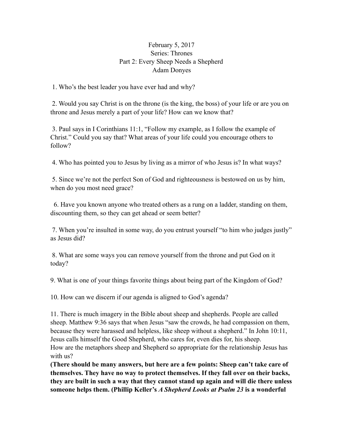## February 5, 2017 Series: Thrones Part 2: Every Sheep Needs a Shepherd Adam Donyes

1. Who's the best leader you have ever had and why?

 2. Would you say Christ is on the throne (is the king, the boss) of your life or are you on throne and Jesus merely a part of your life? How can we know that?

 3. Paul says in I Corinthians 11:1, "Follow my example, as I follow the example of Christ." Could you say that? What areas of your life could you encourage others to follow?

4. Who has pointed you to Jesus by living as a mirror of who Jesus is? In what ways?

 5. Since we're not the perfect Son of God and righteousness is bestowed on us by him, when do you most need grace?

 6. Have you known anyone who treated others as a rung on a ladder, standing on them, discounting them, so they can get ahead or seem better?

 7. When you're insulted in some way, do you entrust yourself "to him who judges justly" as Jesus did?

 8. What are some ways you can remove yourself from the throne and put God on it today?

9. What is one of your things favorite things about being part of the Kingdom of God?

10. How can we discern if our agenda is aligned to God's agenda?

11. There is much imagery in the Bible about sheep and shepherds. People are called sheep. Matthew 9:36 says that when Jesus "saw the crowds, he had compassion on them, because they were harassed and helpless, like sheep without a shepherd." In John 10:11, Jesus calls himself the Good Shepherd, who cares for, even dies for, his sheep. How are the metaphors sheep and Shepherd so appropriate for the relationship Jesus has with us?

**(There should be many answers, but here are a few points: Sheep can't take care of themselves. They have no way to protect themselves. If they fall over on their backs, they are built in such a way that they cannot stand up again and will die there unless someone helps them. (Phillip Keller's** *A Shepherd Looks at Psalm 23* **is a wonderful**